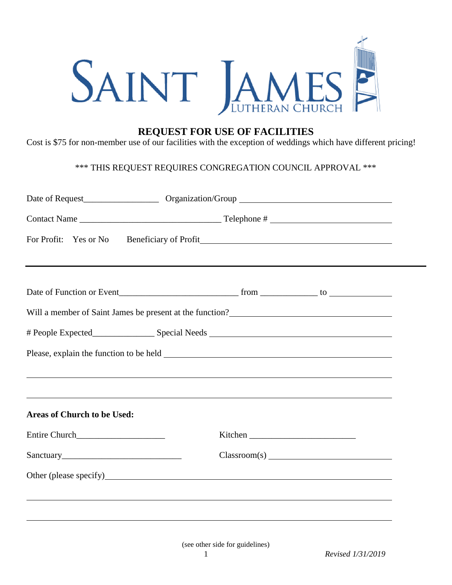

## **REQUEST FOR USE OF FACILITIES**

Cost is \$75 for non-member use of our facilities with the exception of weddings which have different pricing!

## \*\*\* THIS REQUEST REQUIRES CONGREGATION COUNCIL APPROVAL \*\*\*

| For Profit: Yes or No                                                                                          |         |
|----------------------------------------------------------------------------------------------------------------|---------|
|                                                                                                                |         |
|                                                                                                                |         |
| Will a member of Saint James be present at the function?<br><u>Letter and the substantial and the function</u> |         |
|                                                                                                                |         |
|                                                                                                                |         |
|                                                                                                                |         |
| ,我们也不会有什么。""我们的人,我们也不会有什么?""我们的人,我们也不会有什么?""我们的人,我们也不会有什么?""我们的人,我们也不会有什么?""我们的人                               |         |
| <b>Areas of Church to be Used:</b>                                                                             |         |
|                                                                                                                | Kitchen |
|                                                                                                                |         |
|                                                                                                                |         |
|                                                                                                                |         |
|                                                                                                                |         |